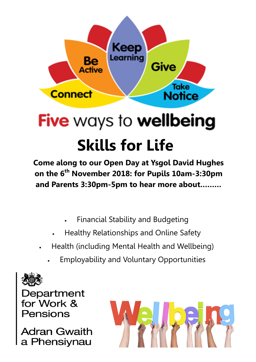

# **Five ways to wellbeing Skills for Life**

**Come along to our Open Day at Ysgol David Hughes on the 6th November 2018: for Pupils 10am-3:30pm and Parents 3:30pm-5pm to hear more about………**

- Financial Stability and Budgeting
- Healthy Relationships and Online Safety
- Health (including Mental Health and Wellbeing)
	- Employability and Voluntary Opportunities



Department for Work & Pensions

**Adran Gwaith** a Phensiynau

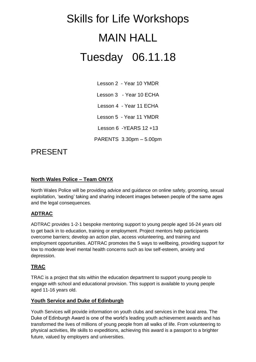## Skills for Life Workshops MAIN HALL Tuesday 06.11.18

Lesson 2 - Year 10 YMDR Lesson 3 - Year 10 ECHA Lesson 4 - Year 11 ECHA Lesson 5 - Year 11 YMDR Lesson 6 -YEARS 12 +13 PARENTS 3.30pm – 5.00pm

### PRESENT

#### **North Wales Police – Team ONYX**

North Wales Police will be providing advice and guidance on online safety, grooming, sexual exploitation, 'sexting' taking and sharing indecent images between people of the same ages and the legal consequences.

#### **ADTRAC**

ADTRAC provides 1-2-1 bespoke mentoring support to young people aged 16-24 years old to get back in to education, training or employment. Project mentors help participants overcome barriers; develop an action plan, access volunteering, and training and employment opportunities. ADTRAC promotes the 5 ways to wellbeing, providing support for low to moderate level mental health concerns such as low self-esteem, anxiety and depression.

#### **TRAC**

TRAC is a project that sits within the education department to support young people to engage with school and educational provision. This support is available to young people aged 11-16 years old.

#### **Youth Service and Duke of Edinburgh**

Youth Services will provide information on youth clubs and services in the local area. The Duke of Edinburgh Award is one of the world's leading youth achievement awards and has transformed the lives of millions of young people from all walks of life. From volunteering to physical activities, life skills to expeditions, achieving this award is a passport to a brighter future, valued by employers and universities.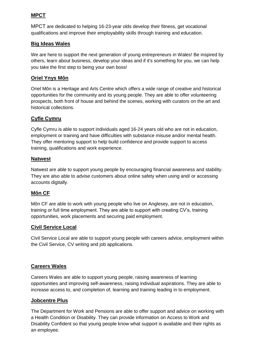#### **MPCT**

MPCT are dedicated to helping 16-23-year olds develop their fitness, get vocational qualifications and improve their employability skills through training and education.

#### **Big Ideas Wales**

We are here to support the next generation of young entrepreneurs in Wales! Be inspired by others, learn about business, develop your ideas and if it's something for you, we can help you take the first step to being your own boss!

#### **Oriel Ynys Môn**

Oriel Môn is a Heritage and Arts Centre which offers a wide range of creative and historical opportunities for the community and its young people. They are able to offer volunteering prospects, both front of house and behind the scenes, working with curators on the art and historical collections.

#### **Cyfle Cymru**

Cyfle Cymru is able to support individuals aged 16-24 years old who are not in education, employment or training and have difficulties with substance misuse and/or mental health. They offer mentoring support to help build confidence and provide support to access training, qualifications and work experience.

#### **Natwest**

Natwest are able to support young people by encouraging financial awareness and stability. They are also able to advise customers about online safety when using and/ or accessing accounts digitally.

#### **Môn CF**

Môn CF are able to work with young people who live on Anglesey, are not in education, training or full time employment. They are able to support with creating CV's, training opportunities, work placements and securing paid employment.

#### **Civil Service Local**

Civil Service Local are able to support young people with careers advice, employment within the Civil Service, CV writing and job applications.

#### **Careers Wales**

Careers Wales are able to support young people, raising awareness of learning opportunities and improving self-awareness, raising individual aspirations. They are able to increase access to, and completion of, learning and training leading in to employment.

#### **Jobcentre Plus**

The Department for Work and Pensions are able to offer support and advice on working with a Health Condition or Disability. They can provide information on Access to Work and Disability Confident so that young people know what support is available and their rights as an employee.